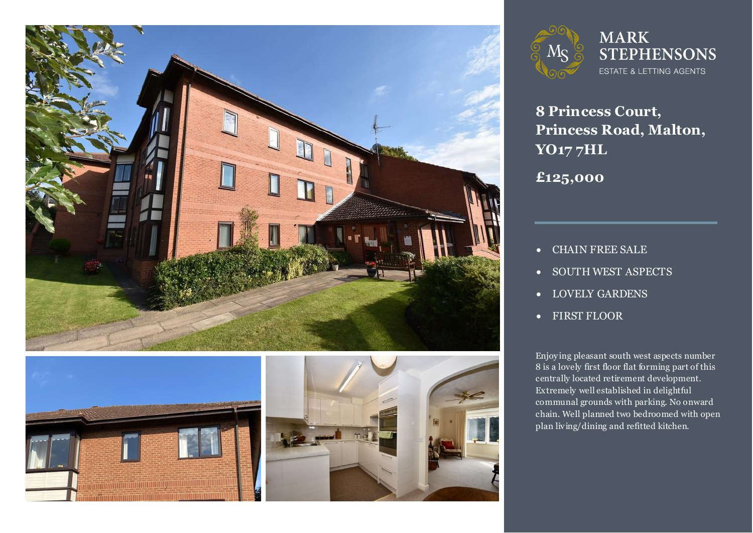





## **MARK STEPHENSONS** ESTATE & LETTING AGENTS

**8 Princess Court, Princess Road, Malton, YO17 7HL**

**£125,000**

- CHAIN FREE SALE
- SOUTH WEST ASPECTS
- LOVELY GARDENS
- FIRST FLOOR

**2** Enjoying pleasant south west aspects number<br>8 is a lovely first floor flat forming part of this chain. Well planned two bedroomed with open Enjoy ing pleasant south west aspects number centrally located retirement development. Extremely well established in delightful communal grounds with parking. No onward plan living/dining and refitted kitchen.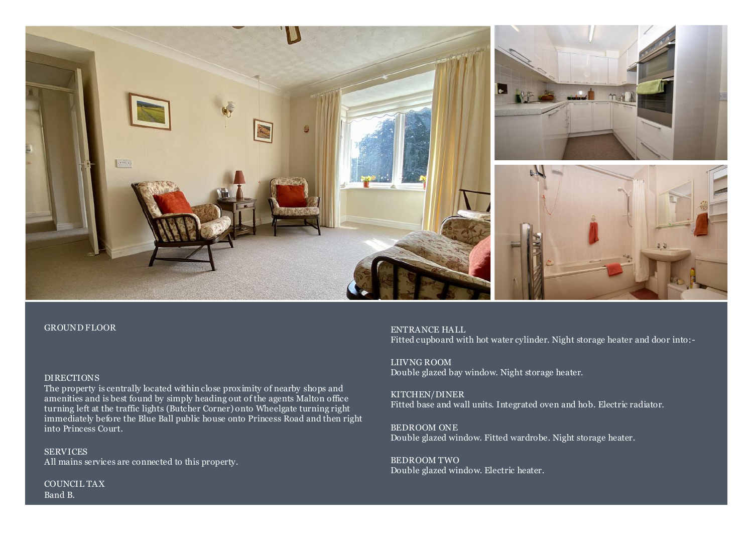

#### GROUND FLOOR

### DIRECTIONS

The property is centrally located within close proximity of nearby shops and amenities and is best found by simply heading out of the agents Malton office turning left at the traffic lights (Butcher Corner) onto Wheelgate turning right immediately before the Blue Ball public house onto Princess Road and then right into Princess Court.

**SERVICES** All mains services are connected to this property.

COUNCIL TAX Band B.

ENTRANCE HALL Fitted cupboard with hot water cylinder. Night storage heater and door into:-

LIIVNG ROOM Double glazed bay window. Night storage heater.

KITCHEN/DINER Fitted base and wall units. Integrated oven and hob. Electric radiator.

BEDROOM ONE Double glazed window. Fitted wardrobe. Night storage heater.

BEDROOM TWO Double glazed window. Electric heater.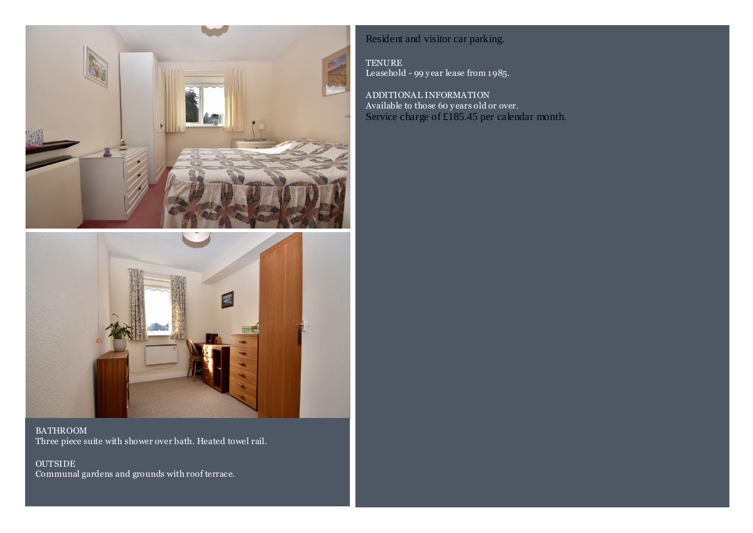



BATHROOM Three piece suite with shower over bath. Heated towel rail.

OUTSIDE Communal gardens and grounds with roof terrace.

## Resident and visitor car parking.

TENURE Leasehold - 99 y ear lease from 1985.

ADDITIONAL INFORMATION Available to those 60 y ears old or over. Service charge of £185.45 per calendar month.